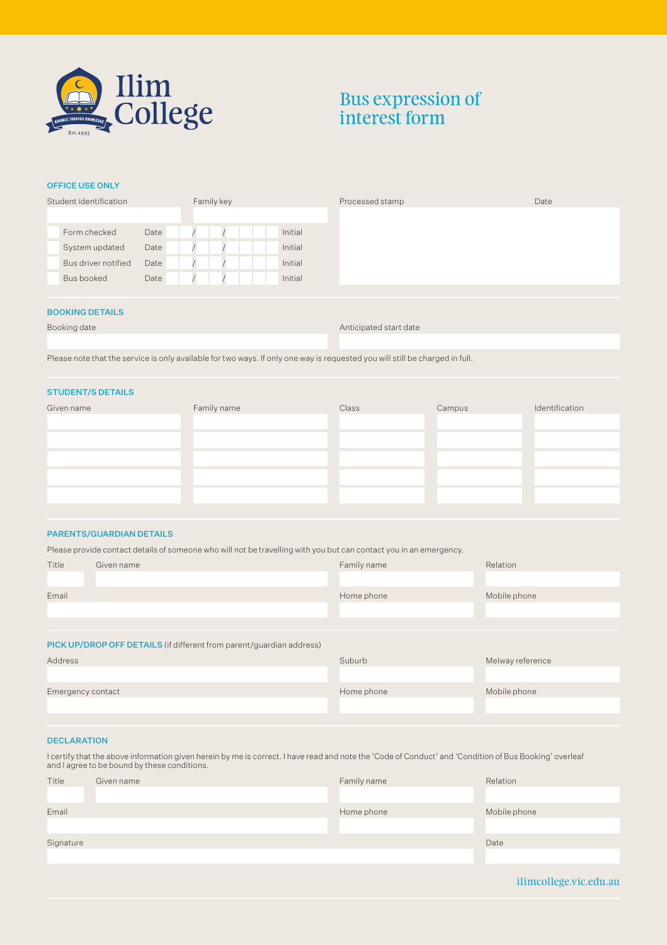

# Bus expression of interest form

## OFFICE USE ONLY

| Student identification      | Family key | Processed stamp | Date |
|-----------------------------|------------|-----------------|------|
|                             |            |                 |      |
| Date<br>Form checked        |            | Initial         |      |
| Date<br>System updated      |            | Initial         |      |
| Bus driver notified<br>Date |            | Initial         |      |
| Date<br>Bus booked          |            | Initial         |      |
|                             |            |                 |      |

#### BOOKING DETAILS

|  | Booking date |
|--|--------------|
|  |              |

Anticipated start date

Please note that the service is only available for two ways. If only one way is requested you will still be charged in full.

## STUDENT/S DETAILS

| Class | Campus | Identification |
|-------|--------|----------------|
|       |        |                |
|       |        |                |
|       |        |                |
|       |        |                |
|       |        |                |
|       |        |                |

## PARENTS/GUARDIAN DETAILS

Please provide contact details of someone who will not be travelling with you but can contact you in an emergency.

| Title                                                                | Given name | Family name | Relation         |  |  |
|----------------------------------------------------------------------|------------|-------------|------------------|--|--|
|                                                                      |            |             |                  |  |  |
| Email                                                                |            | Home phone  | Mobile phone     |  |  |
|                                                                      |            |             |                  |  |  |
|                                                                      |            |             |                  |  |  |
| PICK UP/DROP OFF DETAILS (if different from parent/guardian address) |            |             |                  |  |  |
| Address                                                              |            | Suburb      | Melway reference |  |  |
|                                                                      |            |             |                  |  |  |
| Emergency contact                                                    |            | Home phone  | Mobile phone     |  |  |
|                                                                      |            |             |                  |  |  |
|                                                                      |            |             |                  |  |  |

## **DECLARATION**

I certify that the above information given herein by me is correct. I have read and note the 'Code of Conduct' and 'Condition of Bus Booking' overleaf and I agree to be bound by these conditions.

| Title     | Given name | Family name | Relation     |
|-----------|------------|-------------|--------------|
|           |            |             |              |
| Email     |            | Home phone  | Mobile phone |
|           |            |             |              |
| Signature |            |             | Date         |
|           |            |             |              |
|           |            |             |              |

ilimcollege.vic.edu.au